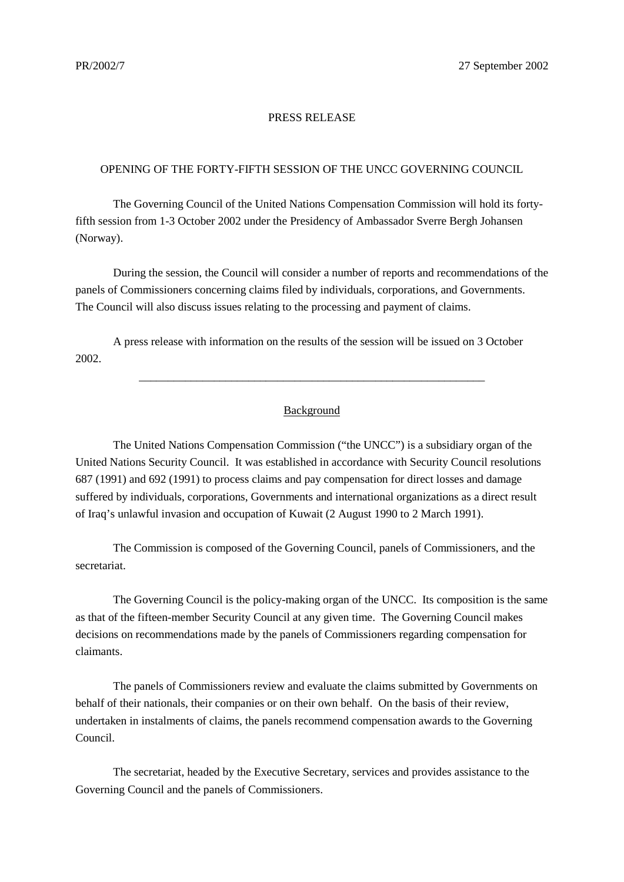## PRESS RELEASE

## OPENING OF THE FORTY-FIFTH SESSION OF THE UNCC GOVERNING COUNCIL

The Governing Council of the United Nations Compensation Commission will hold its fortyfifth session from 1-3 October 2002 under the Presidency of Ambassador Sverre Bergh Johansen (Norway).

During the session, the Council will consider a number of reports and recommendations of the panels of Commissioners concerning claims filed by individuals, corporations, and Governments. The Council will also discuss issues relating to the processing and payment of claims.

A press release with information on the results of the session will be issued on 3 October 2002.

## Background

\_\_\_\_\_\_\_\_\_\_\_\_\_\_\_\_\_\_\_\_\_\_\_\_\_\_\_\_\_\_\_\_\_\_\_\_\_\_\_\_\_\_\_\_\_\_\_\_\_\_\_\_\_\_\_\_\_\_\_\_

The United Nations Compensation Commission ("the UNCC") is a subsidiary organ of the United Nations Security Council. It was established in accordance with Security Council resolutions 687 (1991) and 692 (1991) to process claims and pay compensation for direct losses and damage suffered by individuals, corporations, Governments and international organizations as a direct result of Iraq's unlawful invasion and occupation of Kuwait (2 August 1990 to 2 March 1991).

The Commission is composed of the Governing Council, panels of Commissioners, and the secretariat.

The Governing Council is the policy-making organ of the UNCC. Its composition is the same as that of the fifteen-member Security Council at any given time. The Governing Council makes decisions on recommendations made by the panels of Commissioners regarding compensation for claimants.

The panels of Commissioners review and evaluate the claims submitted by Governments on behalf of their nationals, their companies or on their own behalf. On the basis of their review, undertaken in instalments of claims, the panels recommend compensation awards to the Governing Council.

The secretariat, headed by the Executive Secretary, services and provides assistance to the Governing Council and the panels of Commissioners.